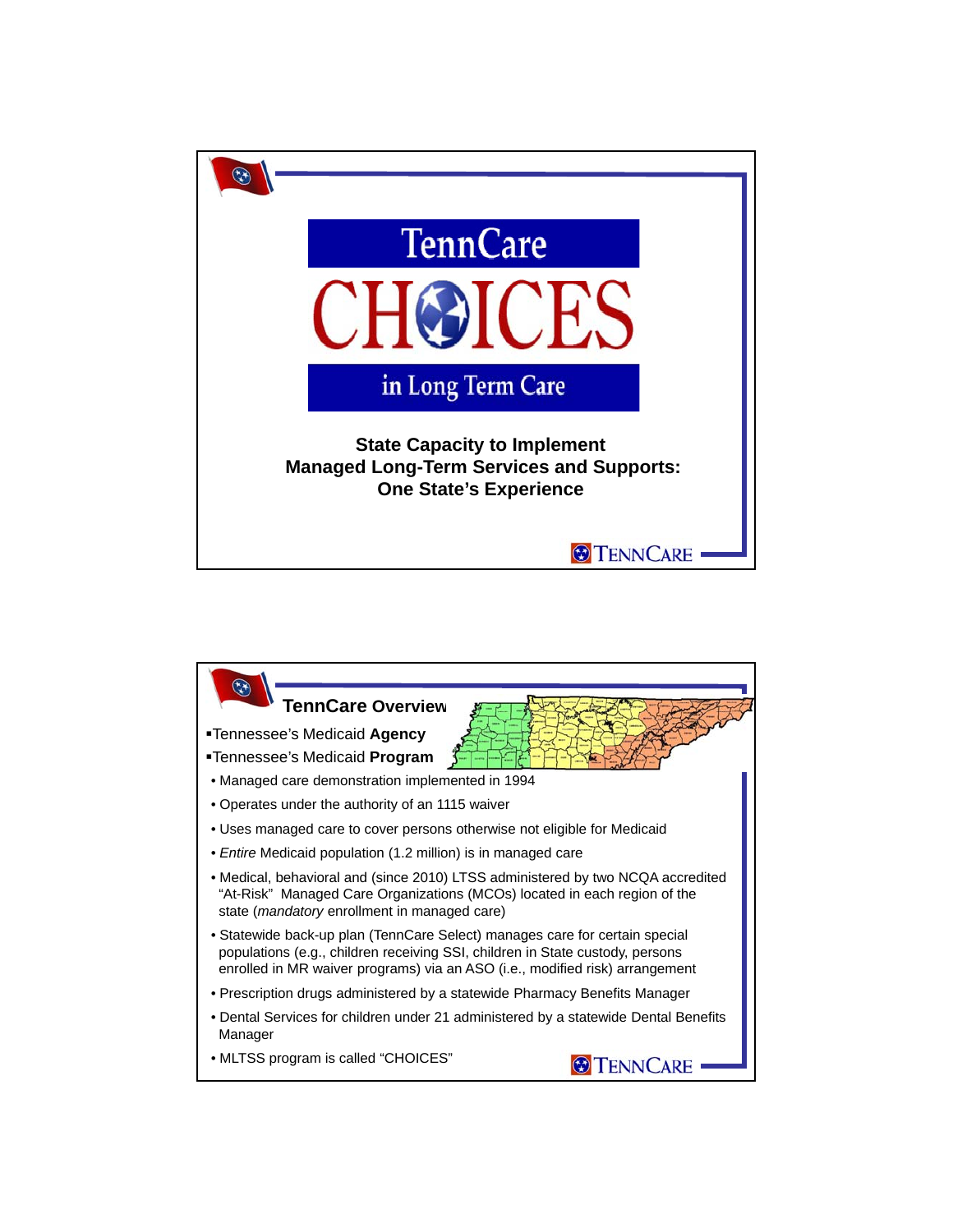

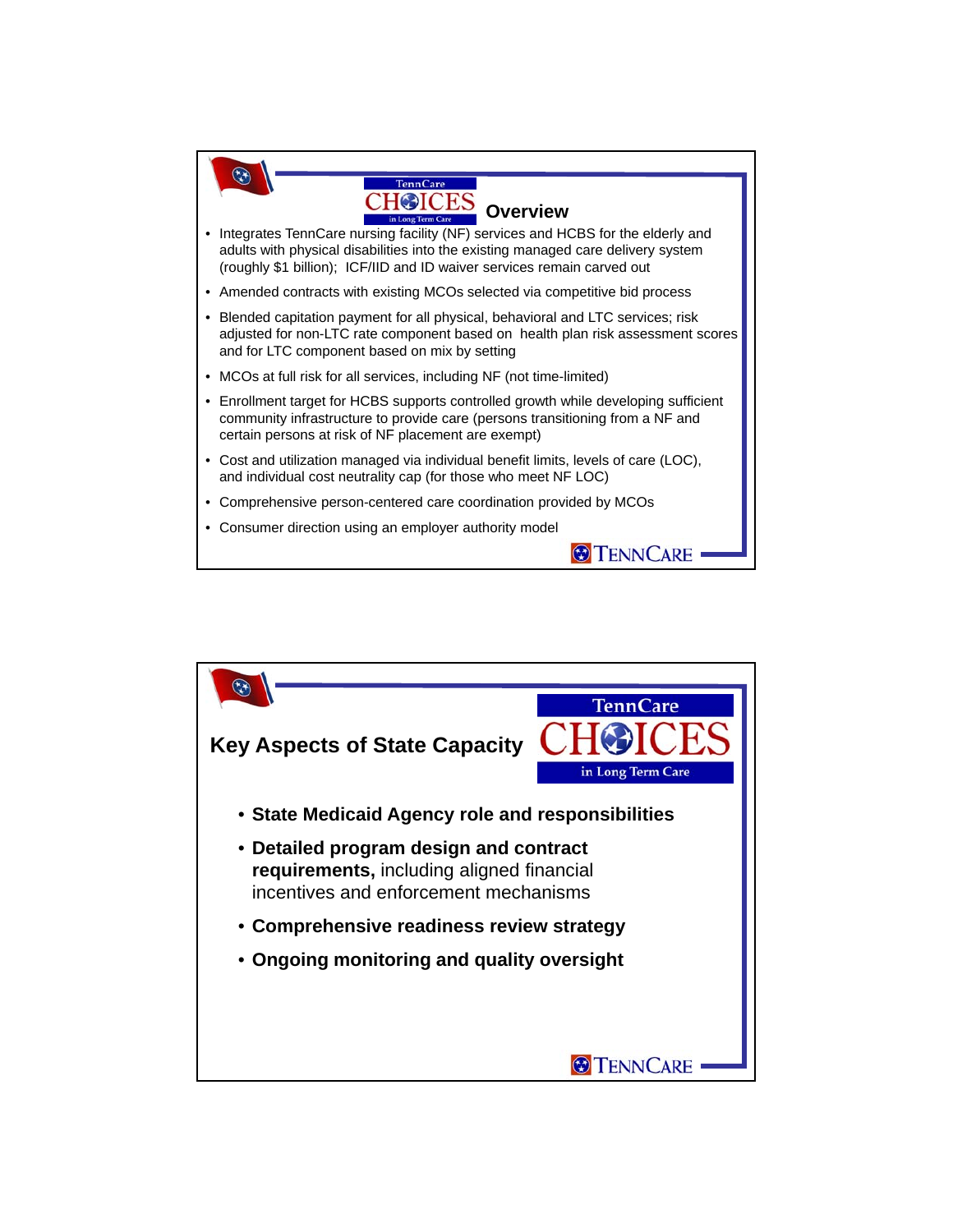

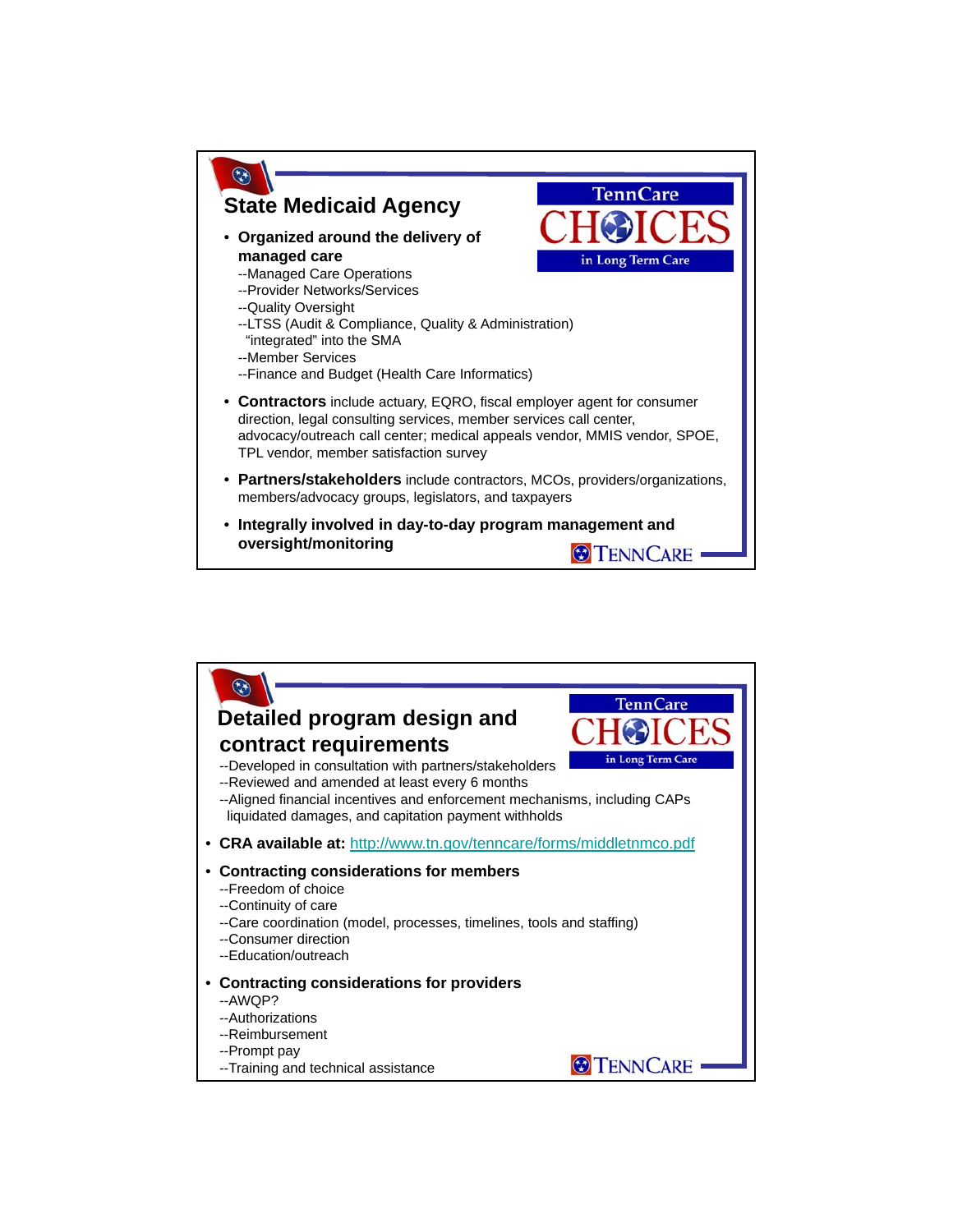

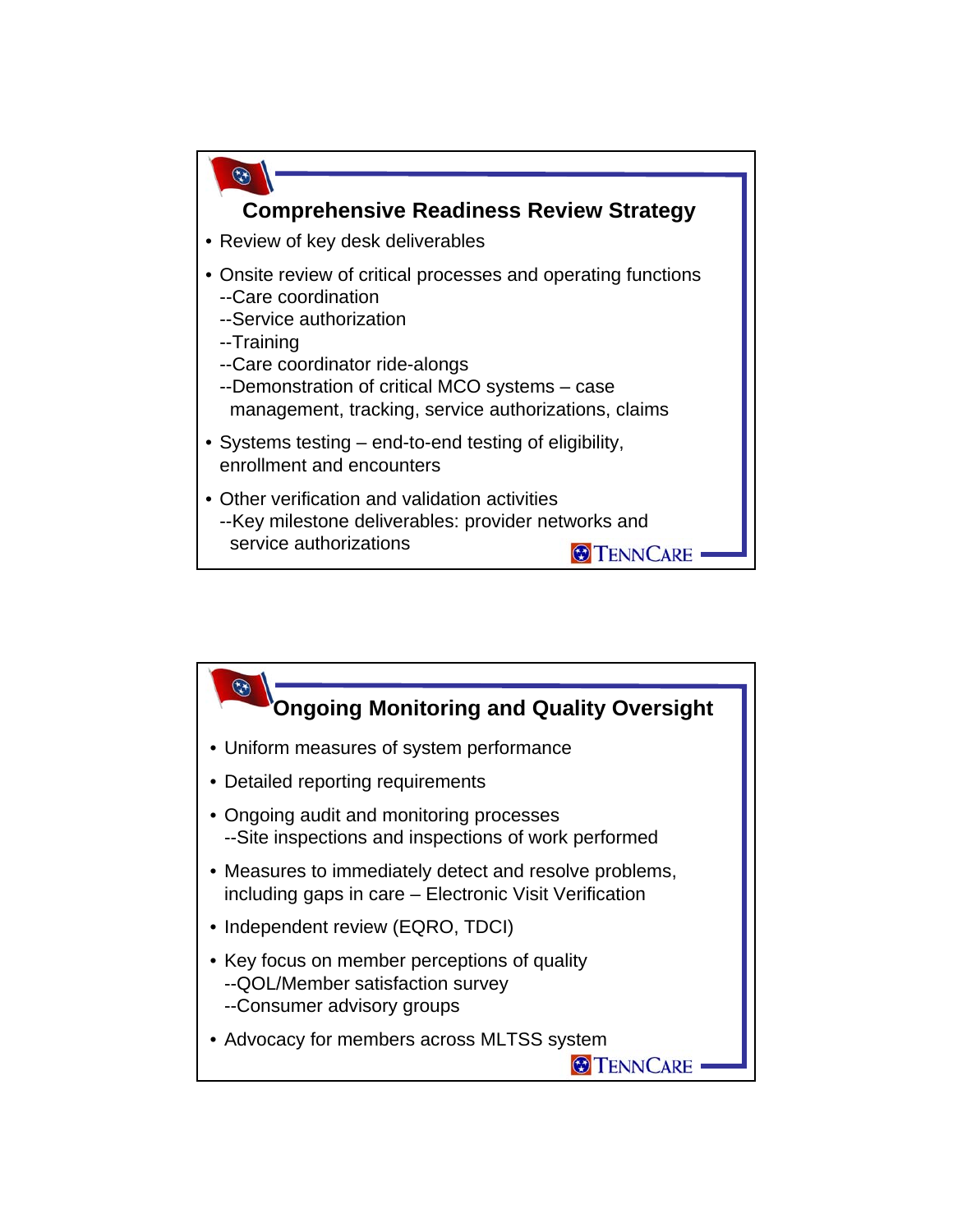